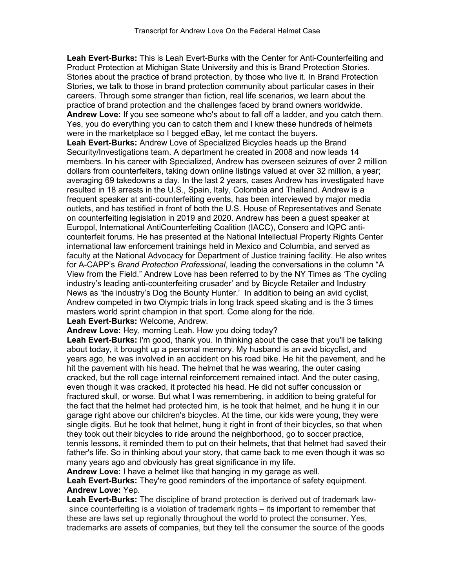**Leah Evert-Burks:** This is Leah Evert-Burks with the Center for Anti-Counterfeiting and Product Protection at Michigan State University and this is Brand Protection Stories. Stories about the practice of brand protection, by those who live it. In Brand Protection Stories, we talk to those in brand protection community about particular cases in their careers. Through some stranger than fiction, real life scenarios, we learn about the practice of brand protection and the challenges faced by brand owners worldwide. **Andrew Love:** If you see someone who's about to fall off a ladder, and you catch them. Yes, you do everything you can to catch them and I knew these hundreds of helmets were in the marketplace so I begged eBay, let me contact the buyers. **Leah Evert-Burks:** Andrew Love of Specialized Bicycles heads up the Brand Security/Investigations team. A department he created in 2008 and now leads 14 members. In his career with Specialized, Andrew has overseen seizures of over 2 million dollars from counterfeiters, taking down online listings valued at over 32 million, a year; averaging 69 takedowns a day. In the last 2 years, cases Andrew has investigated have resulted in 18 arrests in the U.S., Spain, Italy, Colombia and Thailand. Andrew is a frequent speaker at anti-counterfeiting events, has been interviewed by major media outlets, and has testified in front of both the U.S. House of Representatives and Senate on counterfeiting legislation in 2019 and 2020. Andrew has been a guest speaker at Europol, International AntiCounterfeiting Coalition (IACC), Consero and IQPC anticounterfeit forums. He has presented at the National Intellectual Property Rights Center international law enforcement trainings held in Mexico and Columbia, and served as faculty at the National Advocacy for Department of Justice training facility. He also writes for A-CAPP's *Brand Protection Professional*, leading the conversations in the column "A View from the Field." Andrew Love has been referred to by the NY Times as 'The cycling industry's leading anti-counterfeiting crusader' and by Bicycle Retailer and Industry News as 'the industry's Dog the Bounty Hunter.' In addition to being an avid cyclist, Andrew competed in two Olympic trials in long track speed skating and is the 3 times masters world sprint champion in that sport. Come along for the ride.

**Leah Evert-Burks:** Welcome, Andrew.

**Andrew Love:** Hey, morning Leah. How you doing today?

**Leah Evert-Burks:** I'm good, thank you. In thinking about the case that you'll be talking about today, it brought up a personal memory. My husband is an avid bicyclist, and years ago, he was involved in an accident on his road bike. He hit the pavement, and he hit the pavement with his head. The helmet that he was wearing, the outer casing cracked, but the roll cage internal reinforcement remained intact. And the outer casing, even though it was cracked, it protected his head. He did not suffer concussion or fractured skull, or worse. But what I was remembering, in addition to being grateful for the fact that the helmet had protected him, is he took that helmet, and he hung it in our garage right above our children's bicycles. At the time, our kids were young, they were single digits. But he took that helmet, hung it right in front of their bicycles, so that when they took out their bicycles to ride around the neighborhood, go to soccer practice, tennis lessons, it reminded them to put on their helmets, that that helmet had saved their father's life. So in thinking about your story, that came back to me even though it was so many years ago and obviously has great significance in my life.

**Andrew Love:** I have a helmet like that hanging in my garage as well.

**Leah Evert-Burks:** They're good reminders of the importance of safety equipment. **Andrew Love:** Yep.

**Leah Evert-Burks:** The discipline of brand protection is derived out of trademark lawsince counterfeiting is a violation of trademark rights – its important to remember that these are laws set up regionally throughout the world to protect the consumer. Yes, trademarks are assets of companies, but they tell the consumer the source of the goods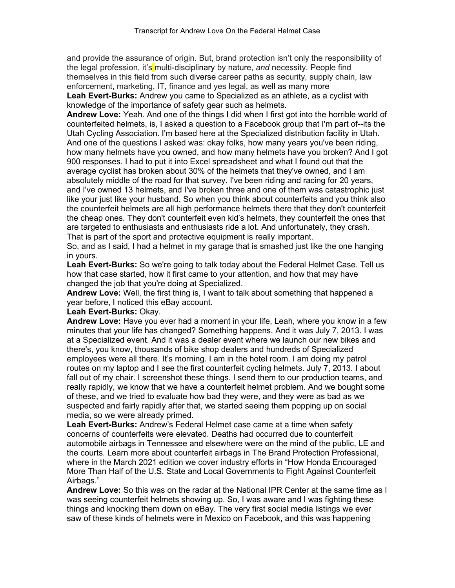and provide the assurance of origin. But, brand protection isn't only the responsibility of the legal profession, it's multi-disciplinary by nature, *and* necessity. People find themselves in this field from such diverse career paths as security, supply chain, law enforcement, marketing, IT, finance and yes legal, as well as many more **Leah Evert-Burks:** Andrew you came to Specialized as an athlete, as a cyclist with knowledge of the importance of safety gear such as helmets.

**Andrew Love:** Yeah. And one of the things I did when I first got into the horrible world of counterfeited helmets, is, I asked a question to a Facebook group that I'm part of--its the Utah Cycling Association. I'm based here at the Specialized distribution facility in Utah. And one of the questions I asked was: okay folks, how many years you've been riding, how many helmets have you owned, and how many helmets have you broken? And I got 900 responses. I had to put it into Excel spreadsheet and what I found out that the average cyclist has broken about 30% of the helmets that they've owned, and I am absolutely middle of the road for that survey. I've been riding and racing for 20 years, and I've owned 13 helmets, and I've broken three and one of them was catastrophic just like your just like your husband. So when you think about counterfeits and you think also the counterfeit helmets are all high performance helmets there that they don't counterfeit the cheap ones. They don't counterfeit even kid's helmets, they counterfeit the ones that are targeted to enthusiasts and enthusiasts ride a lot. And unfortunately, they crash. That is part of the sport and protective equipment is really important.

So, and as I said, I had a helmet in my garage that is smashed just like the one hanging in yours.

**Leah Evert-Burks:** So we're going to talk today about the Federal Helmet Case. Tell us how that case started, how it first came to your attention, and how that may have changed the job that you're doing at Specialized.

**Andrew Love:** Well, the first thing is, I want to talk about something that happened a year before, I noticed this eBay account.

# **Leah Evert-Burks:** Okay.

**Andrew Love:** Have you ever had a moment in your life, Leah, where you know in a few minutes that your life has changed? Something happens. And it was July 7, 2013. I was at a Specialized event. And it was a dealer event where we launch our new bikes and there's, you know, thousands of bike shop dealers and hundreds of Specialized employees were all there. It's morning. I am in the hotel room. I am doing my patrol routes on my laptop and I see the first counterfeit cycling helmets. July 7, 2013. I about fall out of my chair. I screenshot these things. I send them to our production teams, and really rapidly, we know that we have a counterfeit helmet problem. And we bought some of these, and we tried to evaluate how bad they were, and they were as bad as we suspected and fairly rapidly after that, we started seeing them popping up on social media, so we were already primed.

**Leah Evert-Burks:** Andrew's Federal Helmet case came at a time when safety concerns of counterfeits were elevated. Deaths had occurred due to counterfeit automobile airbags in Tennessee and elsewhere were on the mind of the public, LE and the courts. Learn more about counterfeit airbags in The Brand Protection Professional, where in the March 2021 edition we cover industry efforts in "How Honda Encouraged More Than Half of the U.S. State and Local Governments to Fight Against Counterfeit Airbags."

**Andrew Love:** So this was on the radar at the National IPR Center at the same time as I was seeing counterfeit helmets showing up. So, I was aware and I was fighting these things and knocking them down on eBay. The very first social media listings we ever saw of these kinds of helmets were in Mexico on Facebook, and this was happening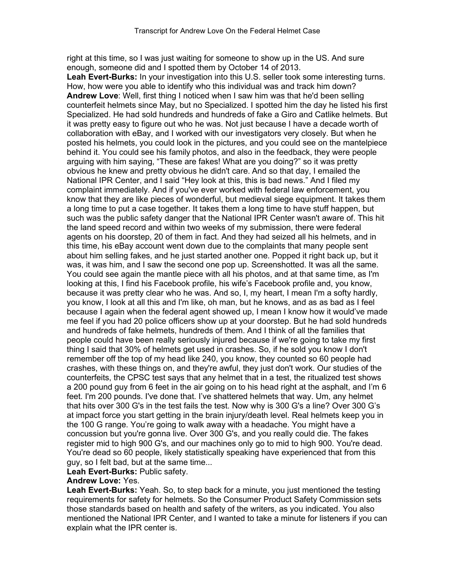right at this time, so I was just waiting for someone to show up in the US. And sure enough, someone did and I spotted them by October 14 of 2013.

**Leah Evert-Burks:** In your investigation into this U.S. seller took some interesting turns. How, how were you able to identify who this individual was and track him down? **Andrew Love**: Well, first thing I noticed when I saw him was that he'd been selling counterfeit helmets since May, but no Specialized. I spotted him the day he listed his first Specialized. He had sold hundreds and hundreds of fake a Giro and Catlike helmets. But it was pretty easy to figure out who he was. Not just because I have a decade worth of collaboration with eBay, and I worked with our investigators very closely. But when he posted his helmets, you could look in the pictures, and you could see on the mantelpiece behind it. You could see his family photos, and also in the feedback, they were people arguing with him saying, "These are fakes! What are you doing?" so it was pretty obvious he knew and pretty obvious he didn't care. And so that day, I emailed the National IPR Center, and I said "Hey look at this, this is bad news." And I filed my complaint immediately. And if you've ever worked with federal law enforcement, you know that they are like pieces of wonderful, but medieval siege equipment. It takes them a long time to put a case together. It takes them a long time to have stuff happen, but such was the public safety danger that the National IPR Center wasn't aware of. This hit the land speed record and within two weeks of my submission, there were federal agents on his doorstep, 20 of them in fact. And they had seized all his helmets, and in this time, his eBay account went down due to the complaints that many people sent about him selling fakes, and he just started another one. Popped it right back up, but it was, it was him, and I saw the second one pop up. Screenshotted. It was all the same. You could see again the mantle piece with all his photos, and at that same time, as I'm looking at this, I find his Facebook profile, his wife's Facebook profile and, you know, because it was pretty clear who he was. And so, I, my heart, I mean I'm a softy hardly, you know, I look at all this and I'm like, oh man, but he knows, and as as bad as I feel because I again when the federal agent showed up, I mean I know how it would've made me feel if you had 20 police officers show up at your doorstep. But he had sold hundreds and hundreds of fake helmets, hundreds of them. And I think of all the families that people could have been really seriously injured because if we're going to take my first thing I said that 30% of helmets get used in crashes. So, if he sold you know I don't remember off the top of my head like 240, you know, they counted so 60 people had crashes, with these things on, and they're awful, they just don't work. Our studies of the counterfeits, the CPSC test says that any helmet that in a test, the ritualized test shows a 200 pound guy from 6 feet in the air going on to his head right at the asphalt, and I'm 6 feet. I'm 200 pounds. I've done that. I've shattered helmets that way. Um, any helmet that hits over 300 G's in the test fails the test. Now why is 300 G's a line? Over 300 G's at impact force you start getting in the brain injury/death level. Real helmets keep you in the 100 G range. You're going to walk away with a headache. You might have a concussion but you're gonna live. Over 300 G's, and you really could die. The fakes register mid to high 900 G's, and our machines only go to mid to high 900. You're dead. You're dead so 60 people, likely statistically speaking have experienced that from this guy, so I felt bad, but at the same time...

### **Leah Evert-Burks:** Public safety.

### **Andrew Love:** Yes.

**Leah Evert-Burks:** Yeah. So, to step back for a minute, you just mentioned the testing requirements for safety for helmets. So the Consumer Product Safety Commission sets those standards based on health and safety of the writers, as you indicated. You also mentioned the National IPR Center, and I wanted to take a minute for listeners if you can explain what the IPR center is.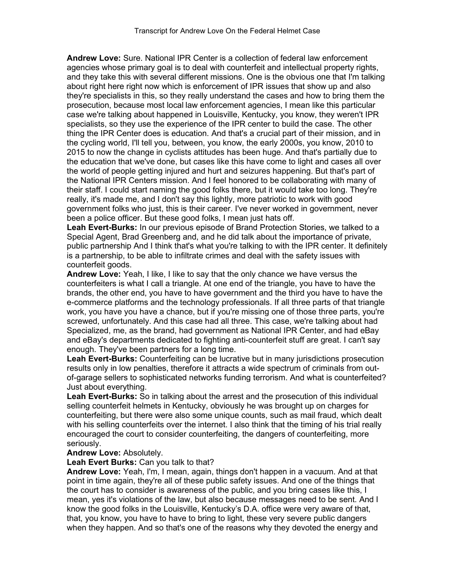**Andrew Love:** Sure. National IPR Center is a collection of federal law enforcement agencies whose primary goal is to deal with counterfeit and intellectual property rights, and they take this with several different missions. One is the obvious one that I'm talking about right here right now which is enforcement of IPR issues that show up and also they're specialists in this, so they really understand the cases and how to bring them the prosecution, because most local law enforcement agencies, I mean like this particular case we're talking about happened in Louisville, Kentucky, you know, they weren't IPR specialists, so they use the experience of the IPR center to build the case. The other thing the IPR Center does is education. And that's a crucial part of their mission, and in the cycling world, I'll tell you, between, you know, the early 2000s, you know, 2010 to 2015 to now the change in cyclists attitudes has been huge. And that's partially due to the education that we've done, but cases like this have come to light and cases all over the world of people getting injured and hurt and seizures happening. But that's part of the National IPR Centers mission. And I feel honored to be collaborating with many of their staff. I could start naming the good folks there, but it would take too long. They're really, it's made me, and I don't say this lightly, more patriotic to work with good government folks who just, this is their career. I've never worked in government, never been a police officer. But these good folks, I mean just hats off.

**Leah Evert-Burks:** In our previous episode of Brand Protection Stories, we talked to a Special Agent, Brad Greenberg and, and he did talk about the importance of private, public partnership And I think that's what you're talking to with the IPR center. It definitely is a partnership, to be able to infiltrate crimes and deal with the safety issues with counterfeit goods.

**Andrew Love:** Yeah, I like, I like to say that the only chance we have versus the counterfeiters is what I call a triangle. At one end of the triangle, you have to have the brands, the other end, you have to have government and the third you have to have the e-commerce platforms and the technology professionals. If all three parts of that triangle work, you have you have a chance, but if you're missing one of those three parts, you're screwed, unfortunately. And this case had all three. This case, we're talking about had Specialized, me, as the brand, had government as National IPR Center, and had eBay and eBay's departments dedicated to fighting anti-counterfeit stuff are great. I can't say enough. They've been partners for a long time.

**Leah Evert-Burks:** Counterfeiting can be lucrative but in many jurisdictions prosecution results only in low penalties, therefore it attracts a wide spectrum of criminals from outof-garage sellers to sophisticated networks funding terrorism. And what is counterfeited? Just about everything.

**Leah Evert-Burks:** So in talking about the arrest and the prosecution of this individual selling counterfeit helmets in Kentucky, obviously he was brought up on charges for counterfeiting, but there were also some unique counts, such as mail fraud, which dealt with his selling counterfeits over the internet. I also think that the timing of his trial really encouraged the court to consider counterfeiting, the dangers of counterfeiting, more seriously.

# **Andrew Love:** Absolutely.

**Leah Evert Burks:** Can you talk to that?

**Andrew Love:** Yeah, I'm, I mean, again, things don't happen in a vacuum. And at that point in time again, they're all of these public safety issues. And one of the things that the court has to consider is awareness of the public, and you bring cases like this, I mean, yes it's violations of the law, but also because messages need to be sent. And I know the good folks in the Louisville, Kentucky's D.A. office were very aware of that, that, you know, you have to have to bring to light, these very severe public dangers when they happen. And so that's one of the reasons why they devoted the energy and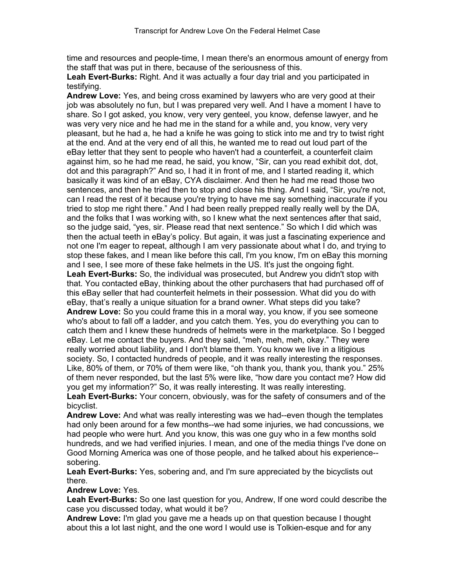time and resources and people-time, I mean there's an enormous amount of energy from the staff that was put in there, because of the seriousness of this.

**Leah Evert-Burks:** Right. And it was actually a four day trial and you participated in testifying.

**Andrew Love:** Yes, and being cross examined by lawyers who are very good at their job was absolutely no fun, but I was prepared very well. And I have a moment I have to share. So I got asked, you know, very very genteel, you know, defense lawyer, and he was very very nice and he had me in the stand for a while and, you know, very very pleasant, but he had a, he had a knife he was going to stick into me and try to twist right at the end. And at the very end of all this, he wanted me to read out loud part of the eBay letter that they sent to people who haven't had a counterfeit, a counterfeit claim against him, so he had me read, he said, you know, "Sir, can you read exhibit dot, dot, dot and this paragraph?" And so, I had it in front of me, and I started reading it, which basically it was kind of an eBay, CYA disclaimer. And then he had me read those two sentences, and then he tried then to stop and close his thing. And I said, "Sir, you're not, can I read the rest of it because you're trying to have me say something inaccurate if you tried to stop me right there." And I had been really prepped really really well by the DA, and the folks that I was working with, so I knew what the next sentences after that said, so the judge said, "yes, sir. Please read that next sentence." So which I did which was then the actual teeth in eBay's policy. But again, it was just a fascinating experience and not one I'm eager to repeat, although I am very passionate about what I do, and trying to stop these fakes, and I mean like before this call, I'm you know, I'm on eBay this morning and I see, I see more of these fake helmets in the US. It's just the ongoing fight. **Leah Evert-Burks:** So, the individual was prosecuted, but Andrew you didn't stop with that. You contacted eBay, thinking about the other purchasers that had purchased off of this eBay seller that had counterfeit helmets in their possession. What did you do with eBay, that's really a unique situation for a brand owner. What steps did you take? **Andrew Love:** So you could frame this in a moral way, you know, if you see someone

who's about to fall off a ladder, and you catch them. Yes, you do everything you can to catch them and I knew these hundreds of helmets were in the marketplace. So I begged eBay. Let me contact the buyers. And they said, "meh, meh, meh, okay." They were really worried about liability, and I don't blame them. You know we live in a litigious society. So, I contacted hundreds of people, and it was really interesting the responses. Like, 80% of them, or 70% of them were like, "oh thank you, thank you, thank you." 25% of them never responded, but the last 5% were like, "how dare you contact me? How did you get my information?" So, it was really interesting. It was really interesting.

**Leah Evert-Burks:** Your concern, obviously, was for the safety of consumers and of the bicyclist.

**Andrew Love:** And what was really interesting was we had--even though the templates had only been around for a few months--we had some injuries, we had concussions, we had people who were hurt. And you know, this was one guy who in a few months sold hundreds, and we had verified injuries. I mean, and one of the media things I've done on Good Morning America was one of those people, and he talked about his experience- sobering.

# **Leah Evert-Burks:** Yes, sobering and, and I'm sure appreciated by the bicyclists out there.

# **Andrew Love:** Yes.

**Leah Evert-Burks:** So one last question for you, Andrew, If one word could describe the case you discussed today, what would it be?

**Andrew Love:** I'm glad you gave me a heads up on that question because I thought about this a lot last night, and the one word I would use is Tolkien-esque and for any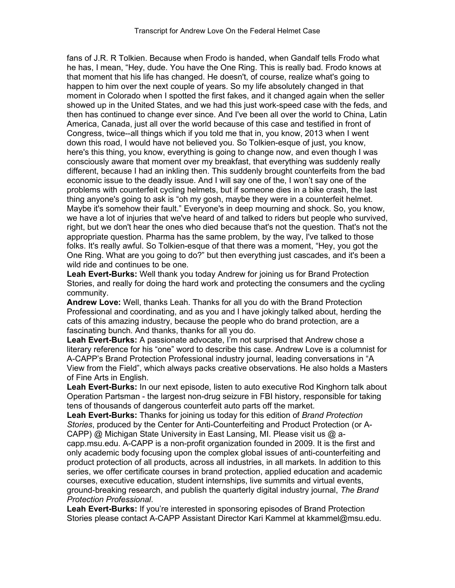fans of J.R. R Tolkien. Because when Frodo is handed, when Gandalf tells Frodo what he has, I mean, "Hey, dude. You have the One Ring. This is really bad. Frodo knows at that moment that his life has changed. He doesn't, of course, realize what's going to happen to him over the next couple of years. So my life absolutely changed in that moment in Colorado when I spotted the first fakes, and it changed again when the seller showed up in the United States, and we had this just work-speed case with the feds, and then has continued to change ever since. And I've been all over the world to China, Latin America, Canada, just all over the world because of this case and testified in front of Congress, twice--all things which if you told me that in, you know, 2013 when I went down this road, I would have not believed you. So Tolkien-esque of just, you know, here's this thing, you know, everything is going to change now, and even though I was consciously aware that moment over my breakfast, that everything was suddenly really different, because I had an inkling then. This suddenly brought counterfeits from the bad economic issue to the deadly issue. And I will say one of the, I won't say one of the problems with counterfeit cycling helmets, but if someone dies in a bike crash, the last thing anyone's going to ask is "oh my gosh, maybe they were in a counterfeit helmet. Maybe it's somehow their fault." Everyone's in deep mourning and shock. So, you know, we have a lot of injuries that we've heard of and talked to riders but people who survived, right, but we don't hear the ones who died because that's not the question. That's not the appropriate question. Pharma has the same problem, by the way, I've talked to those folks. It's really awful. So Tolkien-esque of that there was a moment, "Hey, you got the One Ring. What are you going to do?" but then everything just cascades, and it's been a wild ride and continues to be one.

**Leah Evert-Burks:** Well thank you today Andrew for joining us for Brand Protection Stories, and really for doing the hard work and protecting the consumers and the cycling community.

**Andrew Love:** Well, thanks Leah. Thanks for all you do with the Brand Protection Professional and coordinating, and as you and I have jokingly talked about, herding the cats of this amazing industry, because the people who do brand protection, are a fascinating bunch. And thanks, thanks for all you do.

**Leah Evert-Burks:** A passionate advocate, I'm not surprised that Andrew chose a literary reference for his "one" word to describe this case. Andrew Love is a columnist for A-CAPP's Brand Protection Professional industry journal, leading conversations in "A View from the Field", which always packs creative observations. He also holds a Masters of Fine Arts in English.

**Leah Evert-Burks:** In our next episode, listen to auto executive Rod Kinghorn talk about Operation Partsman - the largest non-drug seizure in FBI history, responsible for taking tens of thousands of dangerous counterfeit auto parts off the market.

**Leah Evert-Burks:** Thanks for joining us today for this edition of *Brand Protection Stories*, produced by the Center for Anti-Counterfeiting and Product Protection (or A-CAPP) @ Michigan State University in East Lansing, MI. Please visit us @ acapp.msu.edu. A-CAPP is a non-profit organization founded in 2009. It is the first and only academic body focusing upon the complex global issues of anti-counterfeiting and product protection of all products, across all industries, in all markets. In addition to this series, we offer certificate courses in brand protection, applied education and academic courses, executive education, student internships, live summits and virtual events, ground-breaking research, and publish the quarterly digital industry journal, *The Brand Protection Professional*.

**Leah Evert-Burks:** If you're interested in sponsoring episodes of Brand Protection Stories please contact A-CAPP Assistant Director Kari Kammel at kkammel@msu.edu.